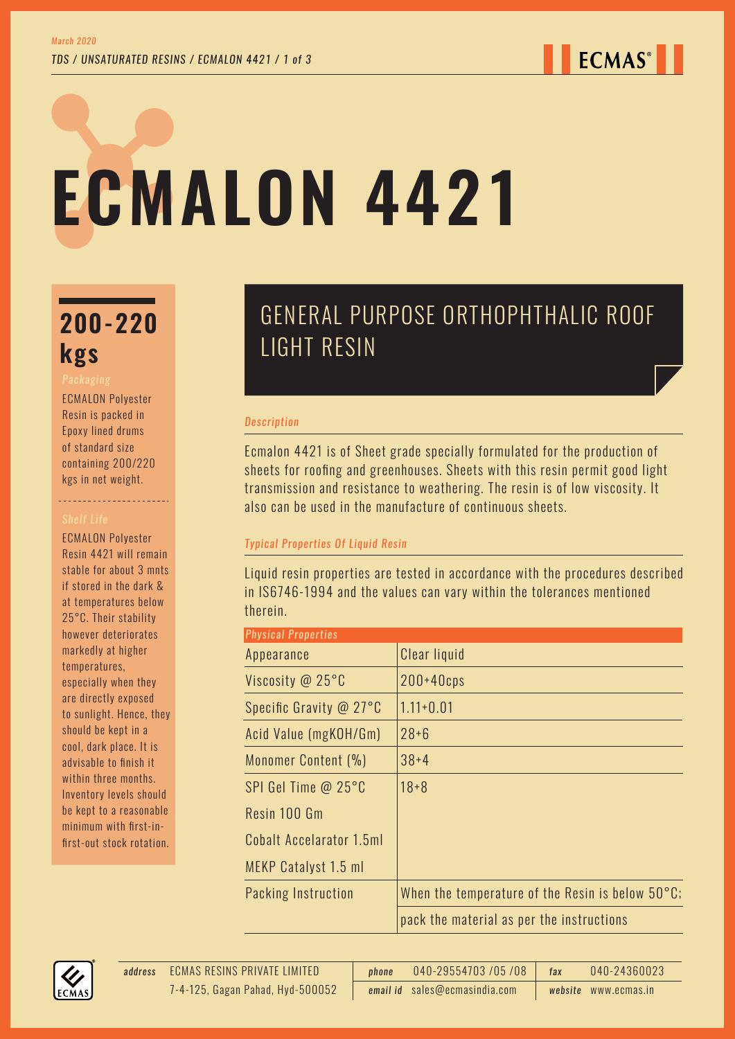# **ECMALON 4421**

# **200-220 kgs**

ECMALON Polyester Resin is packed in Epoxy lined drums of standard size containing 200/220 kgs in net weight.

----------------------

ECMALON Polyester Resin 4421 will remain stable for about 3 mnts if stored in the dark & at temperatures below 25°C. Their stability however deteriorates markedly at higher temperatures, especially when they are directly exposed to sunlight. Hence, they should be kept in a cool, dark place. It is advisable to finish it within three months. Inventory levels should be kept to a reasonable minimum with first-infirst-out stock rotation.

## GENERAL PURPOSE ORTHOPHTHALIC ROOF LIGHT RESIN

### *Description*

Ecmalon 4421 is of Sheet grade specially formulated for the production of sheets for roofing and greenhouses. Sheets with this resin permit good light transmission and resistance to weathering. The resin is of low viscosity. It also can be used in the manufacture of continuous sheets.

## *Typical Properties Of Liquid Resin*

Liquid resin properties are tested in accordance with the procedures described in IS6746-1994 and the values can vary within the tolerances mentioned therein.

| <b>Physical Properties</b> |                                                            |
|----------------------------|------------------------------------------------------------|
| Appearance                 | Clear liquid                                               |
| Viscosity @ 25°C           | $200+40$ cps                                               |
| Specific Gravity @ 27°C    | $1.11 + 0.01$                                              |
| Acid Value (mgKOH/Gm)      | $28 + 6$                                                   |
| Monomer Content (%)        | $38 + 4$                                                   |
| SPI Gel Time $@$ 25 $°C$   | $18 + 8$                                                   |
| Resin 100 Gm               |                                                            |
| Cobalt Accelarator 1.5ml   |                                                            |
| MEKP Catalyst 1.5 ml       |                                                            |
| Packing Instruction        | When the temperature of the Resin is below $50^{\circ}$ C; |
|                            | pack the material as per the instructions                  |



ECMAS RESINS PRIVATE LIMITED *address phone* 040-29554703 /05 /08 *fax* 040-24360023 *email id* sales@ecmasindia.com *website* www.ecmas.in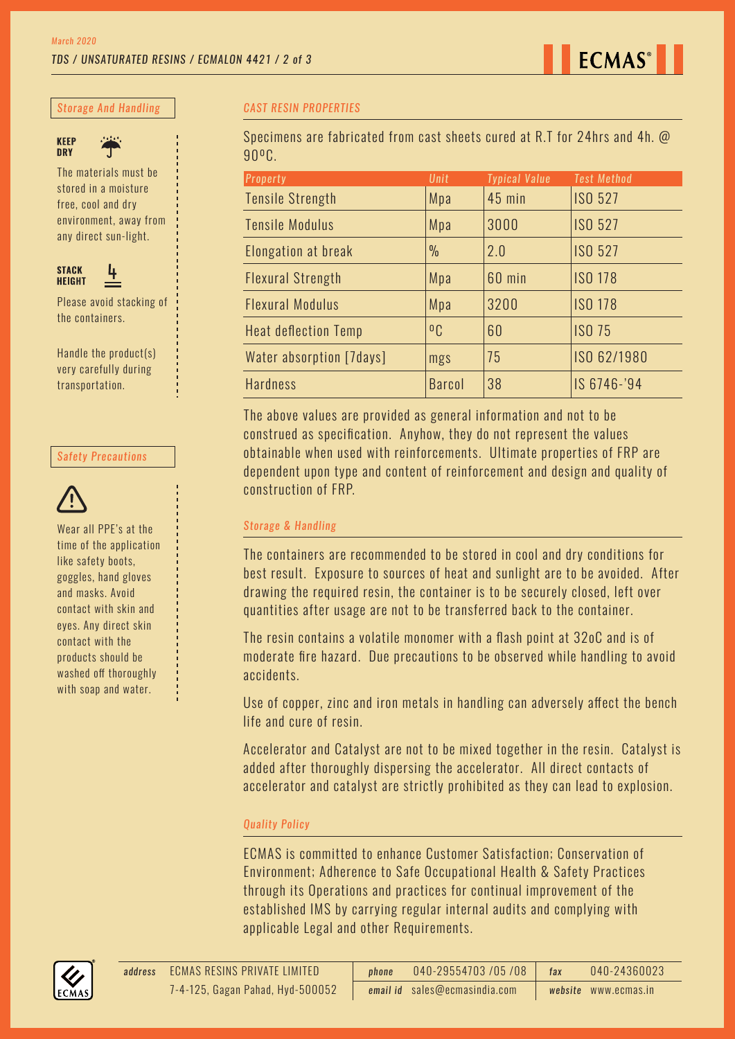*Storage And Handling*



The materials must be stored in a moisture free, cool and dry environment, away from

any direct sun-light.



Please avoid stacking of the containers.

Handle the product(s) very carefully during transportation.

#### *Safety Precautions*



Wear all PPE's at the time of the application like safety boots, goggles, hand gloves and masks. Avoid contact with skin and eyes. Any direct skin contact with the products should be washed off thoroughly with soap and water.

#### *CAST RESIN PROPERTIES*

Specimens are fabricated from cast sheets cured at R.T for 24hrs and 4h. @ 90ºC.

| <b>Property</b>             | Unit           | <b>Typical Value</b> | <b>Test Method</b> |
|-----------------------------|----------------|----------------------|--------------------|
| <b>Tensile Strength</b>     | Mpa            | <b>45 min</b>        | <b>ISO 527</b>     |
| <b>Tensile Modulus</b>      | Mpa            | 3000                 | <b>ISO 527</b>     |
| Elongation at break         | $\frac{0}{0}$  | 2.0                  | <b>ISO 527</b>     |
| <b>Flexural Strength</b>    | Mpa            | 60 min               | <b>ISO 178</b>     |
| <b>Flexural Modulus</b>     | Mpa            | 3200                 | <b>ISO 178</b>     |
| <b>Heat deflection Temp</b> | 0 <sub>C</sub> | 60                   | <b>ISO 75</b>      |
| Water absorption [7days]    | mgs            | 75                   | ISO 62/1980        |
| <b>Hardness</b>             | <b>Barcol</b>  | 38                   | IS 6746-'94        |

The above values are provided as general information and not to be construed as specification. Anyhow, they do not represent the values obtainable when used with reinforcements. Ultimate properties of FRP are dependent upon type and content of reinforcement and design and quality of construction of FRP.

#### *Storage & Handling*

The containers are recommended to be stored in cool and dry conditions for best result. Exposure to sources of heat and sunlight are to be avoided. After drawing the required resin, the container is to be securely closed, left over quantities after usage are not to be transferred back to the container.

The resin contains a volatile monomer with a flash point at 32oC and is of moderate fire hazard. Due precautions to be observed while handling to avoid accidents.

Use of copper, zinc and iron metals in handling can adversely affect the bench life and cure of resin.

Accelerator and Catalyst are not to be mixed together in the resin. Catalyst is added after thoroughly dispersing the accelerator. All direct contacts of accelerator and catalyst are strictly prohibited as they can lead to explosion.

#### *Quality Policy*

ECMAS is committed to enhance Customer Satisfaction; Conservation of Environment; Adherence to Safe Occupational Health & Safety Practices through its Operations and practices for continual improvement of the established IMS by carrying regular internal audits and complying with applicable Legal and other Requirements.